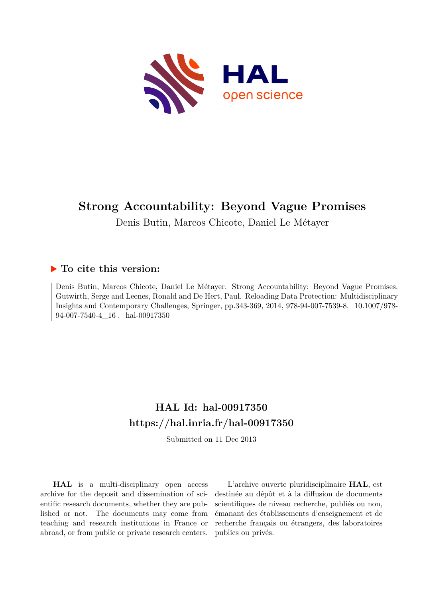

# **Strong Accountability: Beyond Vague Promises**

Denis Butin, Marcos Chicote, Daniel Le Métayer

## **To cite this version:**

Denis Butin, Marcos Chicote, Daniel Le Métayer. Strong Accountability: Beyond Vague Promises. Gutwirth, Serge and Leenes, Ronald and De Hert, Paul. Reloading Data Protection: Multidisciplinary Insights and Contemporary Challenges, Springer, pp.343-369, 2014, 978-94-007-7539-8. 10.1007/978-94-007-7540-4 16. hal-00917350

## **HAL Id: hal-00917350 <https://hal.inria.fr/hal-00917350>**

Submitted on 11 Dec 2013

**HAL** is a multi-disciplinary open access archive for the deposit and dissemination of scientific research documents, whether they are published or not. The documents may come from teaching and research institutions in France or abroad, or from public or private research centers.

L'archive ouverte pluridisciplinaire **HAL**, est destinée au dépôt et à la diffusion de documents scientifiques de niveau recherche, publiés ou non, émanant des établissements d'enseignement et de recherche français ou étrangers, des laboratoires publics ou privés.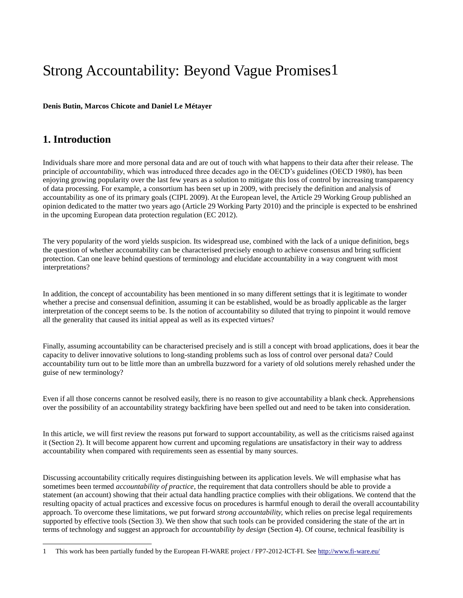# Strong Accountability: Beyond Vague Promises1

**Denis Butin, Marcos Chicote and Daniel Le Métayer**

## **1. Introduction**

l

Individuals share more and more personal data and are out of touch with what happens to their data after their release. The principle of *accountability*, which was introduced three decades ago in the OECD's guidelines (OECD 1980), has been enjoying growing popularity over the last few years as a solution to mitigate this loss of control by increasing transparency of data processing. For example, a consortium has been set up in 2009, with precisely the definition and analysis of accountability as one of its primary goals (CIPL 2009). At the European level, the Article 29 Working Group published an opinion dedicated to the matter two years ago (Article 29 Working Party 2010) and the principle is expected to be enshrined in the upcoming European data protection regulation (EC 2012).

The very popularity of the word yields suspicion. Its widespread use, combined with the lack of a unique definition, begs the question of whether accountability can be characterised precisely enough to achieve consensus and bring sufficient protection. Can one leave behind questions of terminology and elucidate accountability in a way congruent with most interpretations?

In addition, the concept of accountability has been mentioned in so many different settings that it is legitimate to wonder whether a precise and consensual definition, assuming it can be established, would be as broadly applicable as the larger interpretation of the concept seems to be. Is the notion of accountability so diluted that trying to pinpoint it would remove all the generality that caused its initial appeal as well as its expected virtues?

Finally, assuming accountability can be characterised precisely and is still a concept with broad applications, does it bear the capacity to deliver innovative solutions to long-standing problems such as loss of control over personal data? Could accountability turn out to be little more than an umbrella buzzword for a variety of old solutions merely rehashed under the guise of new terminology?

Even if all those concerns cannot be resolved easily, there is no reason to give accountability a blank check. Apprehensions over the possibility of an accountability strategy backfiring have been spelled out and need to be taken into consideration.

In this article, we will first review the reasons put forward to support accountability, as well as the criticisms raised against it (Section 2). It will become apparent how current and upcoming regulations are unsatisfactory in their way to address accountability when compared with requirements seen as essential by many sources.

Discussing accountability critically requires distinguishing between its application levels. We will emphasise what has sometimes been termed *accountability of practice*, the requirement that data controllers should be able to provide a statement (an account) showing that their actual data handling practice complies with their obligations. We contend that the resulting opacity of actual practices and excessive focus on procedures is harmful enough to derail the overall accountability approach. To overcome these limitations, we put forward *strong accountability,* which relies on precise legal requirements supported by effective tools (Section 3). We then show that such tools can be provided considering the state of the art in terms of technology and suggest an approach for *accountability by design* (Section 4). Of course, technical feasibility is

<sup>1</sup> This work has been partially funded by the European FI-WARE project / FP7-2012-ICT-FI. Se[e http://www.fi-ware.eu/](http://www.fi-ware.eu/)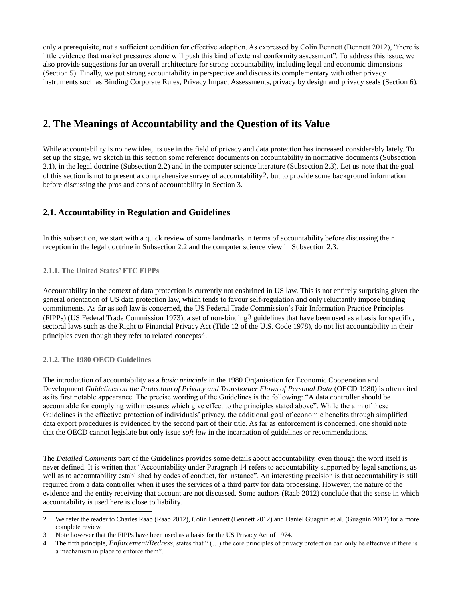only a prerequisite, not a sufficient condition for effective adoption. As expressed by Colin Bennett (Bennett 2012), "there is little evidence that market pressures alone will push this kind of external conformity assessment". To address this issue, we also provide suggestions for an overall architecture for strong accountability, including legal and economic dimensions (Section 5). Finally, we put strong accountability in perspective and discuss its complementary with other privacy instruments such as Binding Corporate Rules, Privacy Impact Assessments, privacy by design and privacy seals (Section 6).

## **2. The Meanings of Accountability and the Question of its Value**

While accountability is no new idea, its use in the field of privacy and data protection has increased considerably lately. To set up the stage, we sketch in this section some reference documents on accountability in normative documents (Subsection 2.1), in the legal doctrine (Subsection 2.2) and in the computer science literature (Subsection 2.3). Let us note that the goal of this section is not to present a comprehensive survey of accountability2, but to provide some background information before discussing the pros and cons of accountability in Section 3.

#### **2.1. Accountability in Regulation and Guidelines**

In this subsection, we start with a quick review of some landmarks in terms of accountability before discussing their reception in the legal doctrine in Subsection 2.2 and the computer science view in Subsection 2.3.

#### **2.1.1. The United States' FTC FIPPs**

Accountability in the context of data protection is currently not enshrined in US law. This is not entirely surprising given the general orientation of US data protection law, which tends to favour self-regulation and only reluctantly impose binding commitments. As far as soft law is concerned, the US Federal Trade Commission's Fair Information Practice Principles (FIPPs) (US Federal Trade Commission 1973), a set of non-binding3 guidelines that have been used as a basis for specific, sectoral laws such as the Right to Financial Privacy Act (Title 12 of the U.S. Code 1978), do not list accountability in their principles even though they refer to related concepts4.

#### **2.1.2. The 1980 OECD Guidelines**

 $\overline{a}$ 

The introduction of accountability as a *basic principle* in the 1980 Organisation for Economic Cooperation and Development *Guidelines on the Protection of Privacy and Transborder Flows of Personal Data* (OECD 1980) is often cited as its first notable appearance. The precise wording of the Guidelines is the following: "A data controller should be accountable for complying with measures which give effect to the principles stated above". While the aim of these Guidelines is the effective protection of individuals' privacy, the additional goal of economic benefits through simplified data export procedures is evidenced by the second part of their title. As far as enforcement is concerned, one should note that the OECD cannot legislate but only issue *soft law* in the incarnation of guidelines or recommendations.

The *Detailed Comments* part of the Guidelines provides some details about accountability, even though the word itself is never defined. It is written that "Accountability under Paragraph 14 refers to accountability supported by legal sanctions, as well as to accountability established by codes of conduct, for instance". An interesting precision is that accountability is still required from a data controller when it uses the services of a third party for data processing. However, the nature of the evidence and the entity receiving that account are not discussed. Some authors (Raab 2012) conclude that the sense in which accountability is used here is close to liability.

<sup>2</sup> We refer the reader to Charles Raab (Raab 2012), Colin Bennett (Bennett 2012) and Daniel Guagnin et al. (Guagnin 2012) for a more complete review.

<sup>3</sup> Note however that the FIPPs have been used as a basis for the US Privacy Act of 1974.

<sup>4</sup> The fifth principle, *Enforcement/Redress*, states that "(...) the core principles of privacy protection can only be effective if there is a mechanism in place to enforce them".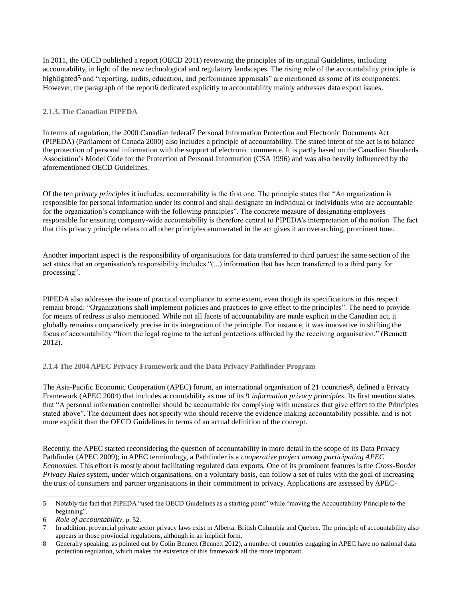In 2011, the OECD published a report (OECD 2011) reviewing the principles of its original Guidelines, including accountability, in light of the new technological and regulatory landscapes. The rising role of the accountability principle is highlighted5 and "reporting, audits, education, and performance appraisals" are mentioned as some of its components. However, the paragraph of the report6 dedicated explicitly to accountability mainly addresses data export issues.

#### **2.1.3. The Canadian PIPEDA**

In terms of regulation, the 2000 Canadian federal7 Personal Information Protection and Electronic Documents Act (PIPEDA) (Parliament of Canada 2000) also includes a principle of accountability. The stated intent of the act is to balance the protection of personal information with the support of electronic commerce. It is partly based on the Canadian Standards Association's Model Code for the Protection of Personal Information (CSA 1996) and was also heavily influenced by the aforementioned OECD Guidelines.

Of the ten *privacy principles* it includes, accountability is the first one. The principle states that "An organization is responsible for personal information under its control and shall designate an individual or individuals who are accountable for the organization's compliance with the following principles". The concrete measure of designating employees responsible for ensuring company-wide accountability is therefore central to PIPEDA's interpretation of the notion. The fact that this privacy principle refers to all other principles enumerated in the act gives it an overarching, prominent tone.

Another important aspect is the responsibility of organisations for data transferred to third parties: the same section of the act states that an organisation's responsibility includes "(...) information that has been transferred to a third party for processing".

PIPEDA also addresses the issue of practical compliance to some extent, even though its specifications in this respect remain broad: "Organizations shall implement policies and practices to give effect to the principles". The need to provide for means of redress is also mentioned. While not all facets of accountability are made explicit in the Canadian act, it globally remains comparatively precise in its integration of the principle. For instance, it was innovative in shifting the focus of accountability "from the legal regime to the actual protections afforded by the receiving organisation." (Bennett 2012).

#### **2.1.4 The 2004 APEC Privacy Framework and the Data Privacy Pathfinder Program**

The Asia-Pacific Economic Cooperation (APEC) forum, an international organisation of 21 countries8, defined a Privacy Framework (APEC 2004) that includes accountability as one of its 9 *information privacy principles*. Its first mention states that ―A personal information controller should be accountable for complying with measures that give effect to the Principles stated above". The document does not specify who should receive the evidence making accountability possible, and is not more explicit than the OECD Guidelines in terms of an actual definition of the concept.

Recently, the APEC started reconsidering the question of accountability in more detail in the scope of its Data Privacy Pathfinder (APEC 2009); in APEC terminology, a Pathfinder is a *cooperative project among participating APEC Economies*. This effort is mostly about facilitating regulated data exports. One of its prominent features is the *Cross-Border Privacy Rules* system, under which organisations, on a voluntary basis, can follow a set of rules with the goal of increasing the trust of consumers and partner organisations in their commitment to privacy. Applications are assessed by APEC-

<sup>5</sup> Notably the fact that PIPEDA "used the OECD Guidelines as a starting point" while "moving the Accountability Principle to the beginning".

<sup>6</sup> *Role of accountability*, p. 52.

<sup>7</sup> In addition, provincial private sector privacy laws exist in Alberta, British Columbia and Quebec. The principle of accountability also appears in those provincial regulations, although in an implicit form.

<sup>8</sup> Generally speaking, as pointed out by Colin Bennett (Bennett 2012), a number of countries engaging in APEC have no national data protection regulation, which makes the existence of this framework all the more important.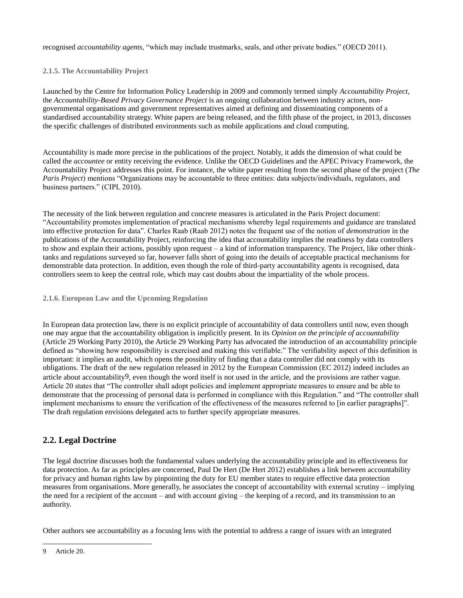recognised *accountability agents*, "which may include trustmarks, seals, and other private bodies." (OECD 2011).

#### **2.1.5. The Accountability Project**

Launched by the Centre for Information Policy Leadership in 2009 and commonly termed simply *Accountability Project*, the *Accountability-Based Privacy Governance Project* is an ongoing collaboration between industry actors, nongovernmental organisations and government representatives aimed at defining and disseminating components of a standardised accountability strategy. White papers are being released, and the fifth phase of the project, in 2013, discusses the specific challenges of distributed environments such as mobile applications and cloud computing.

Accountability is made more precise in the publications of the project. Notably, it adds the dimension of what could be called the *accountee* or entity receiving the evidence. Unlike the OECD Guidelines and the APEC Privacy Framework, the Accountability Project addresses this point. For instance, the white paper resulting from the second phase of the project (*The Paris Project*) mentions "Organizations may be accountable to three entities: data subjects/individuals, regulators, and business partners." (CIPL 2010).

The necessity of the link between regulation and concrete measures is articulated in the Paris Project document: ―Accountability promotes implementation of practical mechanisms whereby legal requirements and guidance are translated into effective protection for data‖. Charles Raab (Raab 2012) notes the frequent use of the notion of *demonstration* in the publications of the Accountability Project, reinforcing the idea that accountability implies the readiness by data controllers to show and explain their actions, possibly upon request – a kind of information transparency. The Project, like other thinktanks and regulations surveyed so far, however falls short of going into the details of acceptable practical mechanisms for demonstrable data protection. In addition, even though the role of third-party accountability agents is recognised, data controllers seem to keep the central role, which may cast doubts about the impartiality of the whole process.

#### **2.1.6. European Law and the Upcoming Regulation**

In European data protection law, there is no explicit principle of accountability of data controllers until now, even though one may argue that the accountability obligation is implicitly present. In its *Opinion on the principle of accountability* (Article 29 Working Party 2010), the Article 29 Working Party has advocated the introduction of an accountability principle defined as "showing how responsibility is exercised and making this verifiable." The verifiability aspect of this definition is important: it implies an audit, which opens the possibility of finding that a data controller did not comply with its obligations. The draft of the new regulation released in 2012 by the European Commission (EC 2012) indeed includes an article about accountability9, even though the word itself is not used in the article, and the provisions are rather vague. Article 20 states that "The controller shall adopt policies and implement appropriate measures to ensure and be able to demonstrate that the processing of personal data is performed in compliance with this Regulation." and "The controller shall implement mechanisms to ensure the verification of the effectiveness of the measures referred to [in earlier paragraphs]". The draft regulation envisions delegated acts to further specify appropriate measures.

#### **2.2. Legal Doctrine**

The legal doctrine discusses both the fundamental values underlying the accountability principle and its effectiveness for data protection. As far as principles are concerned, Paul De Hert (De Hert 2012) establishes a link between accountability for privacy and human rights law by pinpointing the duty for EU member states to require effective data protection measures from organisations. More generally, he associates the concept of accountability with external scrutiny – implying the need for a recipient of the account – and with account giving – the keeping of a record, and its transmission to an authority.

Other authors see accountability as a focusing lens with the potential to address a range of issues with an integrated

l

<sup>9</sup> Article 20.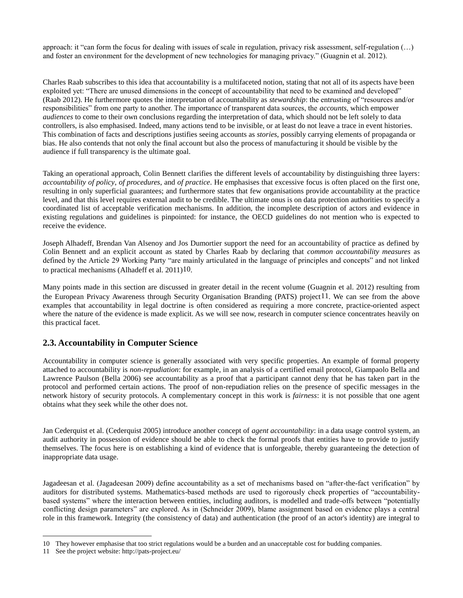approach: it "can form the focus for dealing with issues of scale in regulation, privacy risk assessment, self-regulation  $(\ldots)$ and foster an environment for the development of new technologies for managing privacy." (Guagnin et al. 2012).

Charles Raab subscribes to this idea that accountability is a multifaceted notion, stating that not all of its aspects have been exploited yet: "There are unused dimensions in the concept of accountability that need to be examined and developed" (Raab 2012). He furthermore quotes the interpretation of accountability as *stewardship*: the entrusting of "resources and/or responsibilities" from one party to another. The importance of transparent data sources, the *accounts*, which empower *audiences* to come to their own conclusions regarding the interpretation of data, which should not be left solely to data controllers, is also emphasised. Indeed, many actions tend to be invisible, or at least do not leave a trace in event histories. This combination of facts and descriptions justifies seeing accounts as *stories*, possibly carrying elements of propaganda or bias. He also contends that not only the final account but also the process of manufacturing it should be visible by the audience if full transparency is the ultimate goal.

Taking an operational approach, Colin Bennett clarifies the different levels of accountability by distinguishing three layers: *accountability of policy*, *of procedures*, and *of practice*. He emphasises that excessive focus is often placed on the first one, resulting in only superficial guarantees; and furthermore states that few organisations provide accountability at the practice level, and that this level requires external audit to be credible. The ultimate onus is on data protection authorities to specify a coordinated list of acceptable verification mechanisms. In addition, the incomplete description of actors and evidence in existing regulations and guidelines is pinpointed: for instance, the OECD guidelines do not mention who is expected to receive the evidence.

Joseph Alhadeff, Brendan Van Alsenoy and Jos Dumortier support the need for an accountability of practice as defined by Colin Bennett and an explicit account as stated by Charles Raab by declaring that *common accountability measures* as defined by the Article 29 Working Party "are mainly articulated in the language of principles and concepts" and not linked to practical mechanisms (Alhadeff et al. 2011)10.

Many points made in this section are discussed in greater detail in the recent volume (Guagnin et al. 2012) resulting from the European Privacy Awareness through Security Organisation Branding (PATS) project  $11$ . We can see from the above examples that accountability in legal doctrine is often considered as requiring a more concrete, practice-oriented aspect where the nature of the evidence is made explicit. As we will see now, research in computer science concentrates heavily on this practical facet.

#### **2.3. Accountability in Computer Science**

Accountability in computer science is generally associated with very specific properties. An example of formal property attached to accountability is *non-repudiation*: for example, in an analysis of a certified email protocol, Giampaolo Bella and Lawrence Paulson (Bella 2006) see accountability as a proof that a participant cannot deny that he has taken part in the protocol and performed certain actions. The proof of non-repudiation relies on the presence of specific messages in the network history of security protocols. A complementary concept in this work is *fairness*: it is not possible that one agent obtains what they seek while the other does not.

Jan Cederquist et al. (Cederquist 2005) introduce another concept of *agent accountability*: in a data usage control system, an audit authority in possession of evidence should be able to check the formal proofs that entities have to provide to justify themselves. The focus here is on establishing a kind of evidence that is unforgeable, thereby guaranteeing the detection of inappropriate data usage.

Jagadeesan et al. (Jagadeesan 2009) define accountability as a set of mechanisms based on "after-the-fact verification" by auditors for distributed systems. Mathematics-based methods are used to rigorously check properties of "accountabilitybased systems" where the interaction between entities, including auditors, is modelled and trade-offs between "potentially conflicting design parameters" are explored. As in (Schneider 2009), blame assignment based on evidence plays a central role in this framework. Integrity (the consistency of data) and authentication (the proof of an actor's identity) are integral to

<sup>10</sup> They however emphasise that too strict regulations would be a burden and an unacceptable cost for budding companies.

<sup>11</sup> See the project website: http://pats-project.eu/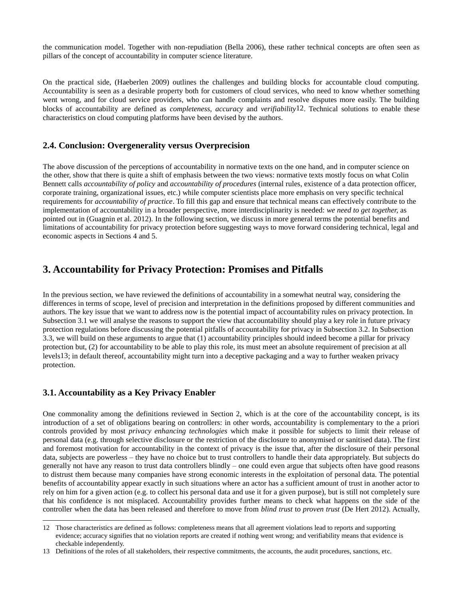the communication model. Together with non-repudiation (Bella 2006), these rather technical concepts are often seen as pillars of the concept of accountability in computer science literature.

On the practical side, (Haeberlen 2009) outlines the challenges and building blocks for accountable cloud computing. Accountability is seen as a desirable property both for customers of cloud services, who need to know whether something went wrong, and for cloud service providers, who can handle complaints and resolve disputes more easily. The building blocks of accountability are defined as *completeness*, *accuracy* and *verifiability*12. Technical solutions to enable these characteristics on cloud computing platforms have been devised by the authors.

#### **2.4. Conclusion: Overgenerality versus Overprecision**

The above discussion of the perceptions of accountability in normative texts on the one hand, and in computer science on the other, show that there is quite a shift of emphasis between the two views: normative texts mostly focus on what Colin Bennett calls *accountability of policy* and *accountability of procedures* (internal rules, existence of a data protection officer, corporate training, organizational issues, etc.) while computer scientists place more emphasis on very specific technical requirements for *accountability of practice*. To fill this gap and ensure that technical means can effectively contribute to the implementation of accountability in a broader perspective, more interdisciplinarity is needed: *we need to get together,* as pointed out in (Guagnin et al. 2012). In the following section, we discuss in more general terms the potential benefits and limitations of accountability for privacy protection before suggesting ways to move forward considering technical, legal and economic aspects in Sections 4 and 5.

### **3. Accountability for Privacy Protection: Promises and Pitfalls**

In the previous section, we have reviewed the definitions of accountability in a somewhat neutral way, considering the differences in terms of scope, level of precision and interpretation in the definitions proposed by different communities and authors. The key issue that we want to address now is the potential impact of accountability rules on privacy protection. In Subsection 3.1 we will analyse the reasons to support the view that accountability should play a key role in future privacy protection regulations before discussing the potential pitfalls of accountability for privacy in Subsection 3.2. In Subsection 3.3, we will build on these arguments to argue that (1) accountability principles should indeed become a pillar for privacy protection but, (2) for accountability to be able to play this role, its must meet an absolute requirement of precision at all levels13; in default thereof, accountability might turn into a deceptive packaging and a way to further weaken privacy protection.

#### **3.1. Accountability as a Key Privacy Enabler**

 $\overline{a}$ 

One commonality among the definitions reviewed in Section 2, which is at the core of the accountability concept, is its introduction of a set of obligations bearing on controllers: in other words, accountability is complementary to the a priori controls provided by most *privacy enhancing technologies* which make it possible for subjects to limit their release of personal data (e.g. through selective disclosure or the restriction of the disclosure to anonymised or sanitised data). The first and foremost motivation for accountability in the context of privacy is the issue that, after the disclosure of their personal data, subjects are powerless – they have no choice but to trust controllers to handle their data appropriately. But subjects do generally not have any reason to trust data controllers blindly – one could even argue that subjects often have good reasons to distrust them because many companies have strong economic interests in the exploitation of personal data. The potential benefits of accountability appear exactly in such situations where an actor has a sufficient amount of trust in another actor to rely on him for a given action (e.g. to collect his personal data and use it for a given purpose), but is still not completely sure that his confidence is not misplaced. Accountability provides further means to check what happens on the side of the controller when the data has been released and therefore to move from *blind trust* to *proven trust* (De Hert 2012). Actually,

<sup>12</sup> Those characteristics are defined as follows: completeness means that all agreement violations lead to reports and supporting evidence; accuracy signifies that no violation reports are created if nothing went wrong; and verifiability means that evidence is checkable independently.

<sup>13</sup> Definitions of the roles of all stakeholders, their respective commitments, the accounts, the audit procedures, sanctions, etc.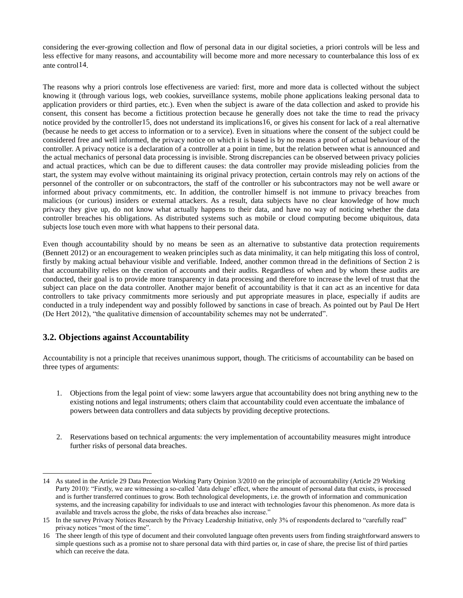considering the ever-growing collection and flow of personal data in our digital societies, a priori controls will be less and less effective for many reasons, and accountability will become more and more necessary to counterbalance this loss of ex ante control14.

The reasons why a priori controls lose effectiveness are varied: first, more and more data is collected without the subject knowing it (through various logs, web cookies, surveillance systems, mobile phone applications leaking personal data to application providers or third parties, etc.). Even when the subject is aware of the data collection and asked to provide his consent, this consent has become a fictitious protection because he generally does not take the time to read the privacy notice provided by the controller  $15$ , does not understand its implications  $16$ , or gives his consent for lack of a real alternative (because he needs to get access to information or to a service). Even in situations where the consent of the subject could be considered free and well informed, the privacy notice on which it is based is by no means a proof of actual behaviour of the controller. A privacy notice is a declaration of a controller at a point in time, but the relation between what is announced and the actual mechanics of personal data processing is invisible. Strong discrepancies can be observed between privacy policies and actual practices, which can be due to different causes: the data controller may provide misleading policies from the start, the system may evolve without maintaining its original privacy protection, certain controls may rely on actions of the personnel of the controller or on subcontractors, the staff of the controller or his subcontractors may not be well aware or informed about privacy commitments, etc. In addition, the controller himself is not immune to privacy breaches from malicious (or curious) insiders or external attackers. As a result, data subjects have no clear knowledge of how much privacy they give up, do not know what actually happens to their data, and have no way of noticing whether the data controller breaches his obligations. As distributed systems such as mobile or cloud computing become ubiquitous, data subjects lose touch even more with what happens to their personal data.

Even though accountability should by no means be seen as an alternative to substantive data protection requirements (Bennett 2012) or an encouragement to weaken principles such as data minimality, it can help mitigating this loss of control, firstly by making actual behaviour visible and verifiable. Indeed, another common thread in the definitions of Section 2 is that accountability relies on the creation of accounts and their audits. Regardless of when and by whom these audits are conducted, their goal is to provide more transparency in data processing and therefore to increase the level of trust that the subject can place on the data controller. Another major benefit of accountability is that it can act as an incentive for data controllers to take privacy commitments more seriously and put appropriate measures in place, especially if audits are conducted in a truly independent way and possibly followed by sanctions in case of breach. As pointed out by Paul De Hert (De Hert 2012), "the qualitative dimension of accountability schemes may not be underrated".

#### **3.2. Objections against Accountability**

 $\overline{a}$ 

Accountability is not a principle that receives unanimous support, though. The criticisms of accountability can be based on three types of arguments:

- 1. Objections from the legal point of view: some lawyers argue that accountability does not bring anything new to the existing notions and legal instruments; others claim that accountability could even accentuate the imbalance of powers between data controllers and data subjects by providing deceptive protections.
- 2. Reservations based on technical arguments: the very implementation of accountability measures might introduce further risks of personal data breaches.

<sup>14</sup> As stated in the Article 29 Data Protection Working Party Opinion 3/2010 on the principle of accountability (Article 29 Working Party 2010): "Firstly, we are witnessing a so-called 'data deluge' effect, where the amount of personal data that exists, is processed and is further transferred continues to grow. Both technological developments, i.e. the growth of information and communication systems, and the increasing capability for individuals to use and interact with technologies favour this phenomenon. As more data is available and travels across the globe, the risks of data breaches also increase."

<sup>15</sup> In the survey Privacy Notices Research by the Privacy Leadership Initiative, only 3% of respondents declared to "carefully read" privacy notices "most of the time".

<sup>16</sup> The sheer length of this type of document and their convoluted language often prevents users from finding straightforward answers to simple questions such as a promise not to share personal data with third parties or, in case of share, the precise list of third parties which can receive the data.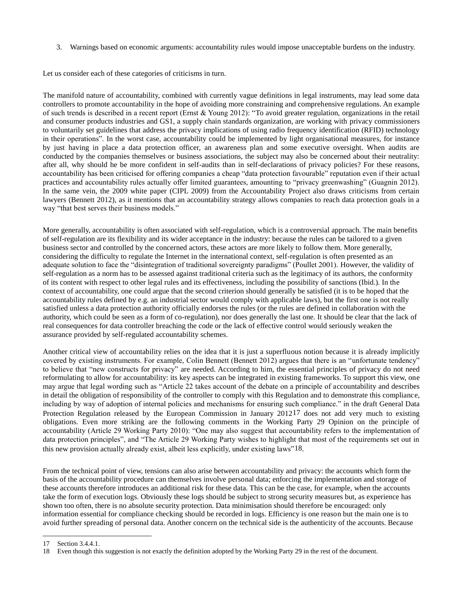3. Warnings based on economic arguments: accountability rules would impose unacceptable burdens on the industry.

Let us consider each of these categories of criticisms in turn.

The manifold nature of accountability, combined with currently vague definitions in legal instruments, may lead some data controllers to promote accountability in the hope of avoiding more constraining and comprehensive regulations. An example of such trends is described in a recent report (Ernst & Young 2012): "To avoid greater regulation, organizations in the retail and consumer products industries and GS1, a supply chain standards organization, are working with privacy commissioners to voluntarily set guidelines that address the privacy implications of using radio frequency identification (RFID) technology in their operations". In the worst case, accountability could be implemented by light organisational measures, for instance by just having in place a data protection officer, an awareness plan and some executive oversight. When audits are conducted by the companies themselves or business associations, the subject may also be concerned about their neutrality: after all, why should he be more confident in self-audits than in self-declarations of privacy policies? For these reasons, accountability has been criticised for offering companies a cheap "data protection favourable" reputation even if their actual practices and accountability rules actually offer limited guarantees, amounting to "privacy greenwashing" (Guagnin 2012). In the same vein, the 2009 white paper (CIPL 2009) from the Accountability Project also draws criticisms from certain lawyers (Bennett 2012), as it mentions that an accountability strategy allows companies to reach data protection goals in a way "that best serves their business models."

More generally, accountability is often associated with self-regulation, which is a controversial approach. The main benefits of self-regulation are its flexibility and its wider acceptance in the industry: because the rules can be tailored to a given business sector and controlled by the concerned actors, these actors are more likely to follow them. More generally, considering the difficulty to regulate the Internet in the international context, self-regulation is often presented as an adequate solution to face the "disintegration of traditional sovereignty paradigms" (Poullet 2001). However, the validity of self-regulation as a norm has to be assessed against traditional criteria such as the legitimacy of its authors, the conformity of its content with respect to other legal rules and its effectiveness, including the possibility of sanctions (Ibid.). In the context of accountability, one could argue that the second criterion should generally be satisfied (it is to be hoped that the accountability rules defined by e.g. an industrial sector would comply with applicable laws), but the first one is not really satisfied unless a data protection authority officially endorses the rules (or the rules are defined in collaboration with the authority, which could be seen as a form of co-regulation), nor does generally the last one. It should be clear that the lack of real consequences for data controller breaching the code or the lack of effective control would seriously weaken the assurance provided by self-regulated accountability schemes.

Another critical view of accountability relies on the idea that it is just a superfluous notion because it is already implicitly covered by existing instruments. For example, Colin Bennett (Bennett 2012) argues that there is an "unfortunate tendency" to believe that "new constructs for privacy" are needed. According to him, the essential principles of privacy do not need reformulating to allow for accountability: its key aspects can be integrated in existing frameworks. To support this view, one may argue that legal wording such as "Article 22 takes account of the debate on a principle of accountability and describes in detail the obligation of responsibility of the controller to comply with this Regulation and to demonstrate this compliance, including by way of adoption of internal policies and mechanisms for ensuring such compliance." in the draft General Data Protection Regulation released by the European Commission in January 201217 does not add very much to existing obligations. Even more striking are the following comments in the Working Party 29 Opinion on the principle of accountability (Article 29 Working Party 2010): "One may also suggest that accountability refers to the implementation of data protection principles", and "The Article 29 Working Party wishes to highlight that most of the requirements set out in this new provision actually already exist, albeit less explicitly, under existing laws"18.

From the technical point of view, tensions can also arise between accountability and privacy: the accounts which form the basis of the accountability procedure can themselves involve personal data; enforcing the implementation and storage of these accounts therefore introduces an additional risk for these data. This can be the case, for example, when the accounts take the form of execution logs. Obviously these logs should be subject to strong security measures but, as experience has shown too often, there is no absolute security protection. Data minimisation should therefore be encouraged: only information essential for compliance checking should be recorded in logs. Efficiency is one reason but the main one is to avoid further spreading of personal data. Another concern on the technical side is the authenticity of the accounts. Because

<sup>17</sup> Section 3.4.4.1.

<sup>18</sup> Even though this suggestion is not exactly the definition adopted by the Working Party 29 in the rest of the document.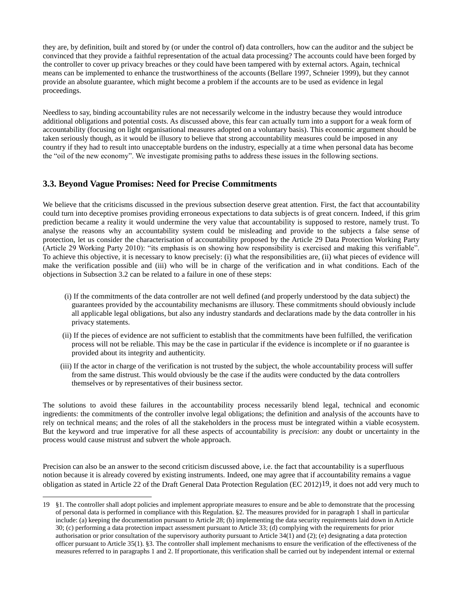they are, by definition, built and stored by (or under the control of) data controllers, how can the auditor and the subject be convinced that they provide a faithful representation of the actual data processing? The accounts could have been forged by the controller to cover up privacy breaches or they could have been tampered with by external actors. Again, technical means can be implemented to enhance the trustworthiness of the accounts (Bellare 1997, Schneier 1999), but they cannot provide an absolute guarantee, which might become a problem if the accounts are to be used as evidence in legal proceedings.

Needless to say, binding accountability rules are not necessarily welcome in the industry because they would introduce additional obligations and potential costs. As discussed above, this fear can actually turn into a support for a weak form of accountability (focusing on light organisational measures adopted on a voluntary basis). This economic argument should be taken seriously though, as it would be illusory to believe that strong accountability measures could be imposed in any country if they had to result into unacceptable burdens on the industry, especially at a time when personal data has become the "oil of the new economy". We investigate promising paths to address these issues in the following sections.

#### **3.3. Beyond Vague Promises: Need for Precise Commitments**

 $\overline{a}$ 

We believe that the criticisms discussed in the previous subsection deserve great attention. First, the fact that accountability could turn into deceptive promises providing erroneous expectations to data subjects is of great concern. Indeed, if this grim prediction became a reality it would undermine the very value that accountability is supposed to restore, namely trust. To analyse the reasons why an accountability system could be misleading and provide to the subjects a false sense of protection, let us consider the characterisation of accountability proposed by the Article 29 Data Protection Working Party (Article 29 Working Party 2010): "its emphasis is on showing how responsibility is exercised and making this verifiable". To achieve this objective, it is necessary to know precisely: (i) what the responsibilities are, (ii) what pieces of evidence will make the verification possible and (iii) who will be in charge of the verification and in what conditions. Each of the objections in Subsection 3.2 can be related to a failure in one of these steps:

- (i) If the commitments of the data controller are not well defined (and properly understood by the data subject) the guarantees provided by the accountability mechanisms are illusory. These commitments should obviously include all applicable legal obligations, but also any industry standards and declarations made by the data controller in his privacy statements.
- (ii) If the pieces of evidence are not sufficient to establish that the commitments have been fulfilled, the verification process will not be reliable. This may be the case in particular if the evidence is incomplete or if no guarantee is provided about its integrity and authenticity.
- (iii) If the actor in charge of the verification is not trusted by the subject, the whole accountability process will suffer from the same distrust. This would obviously be the case if the audits were conducted by the data controllers themselves or by representatives of their business sector.

The solutions to avoid these failures in the accountability process necessarily blend legal, technical and economic ingredients: the commitments of the controller involve legal obligations; the definition and analysis of the accounts have to rely on technical means; and the roles of all the stakeholders in the process must be integrated within a viable ecosystem. But the keyword and true imperative for all these aspects of accountability is *precision*: any doubt or uncertainty in the process would cause mistrust and subvert the whole approach.

Precision can also be an answer to the second criticism discussed above, i.e. the fact that accountability is a superfluous notion because it is already covered by existing instruments. Indeed, one may agree that if accountability remains a vague obligation as stated in Article 22 of the Draft General Data Protection Regulation (EC 2012)19, it does not add very much to

<sup>19</sup> §1. The controller shall adopt policies and implement appropriate measures to ensure and be able to demonstrate that the processing of personal data is performed in compliance with this Regulation. §2. The measures provided for in paragraph 1 shall in particular include: (a) keeping the documentation pursuant to Article 28; (b) implementing the data security requirements laid down in Article 30; (c) performing a data protection impact assessment pursuant to Article 33; (d) complying with the requirements for prior authorisation or prior consultation of the supervisory authority pursuant to Article 34(1) and (2); (e) designating a data protection officer pursuant to Article 35(1). §3. The controller shall implement mechanisms to ensure the verification of the effectiveness of the measures referred to in paragraphs 1 and 2. If proportionate, this verification shall be carried out by independent internal or external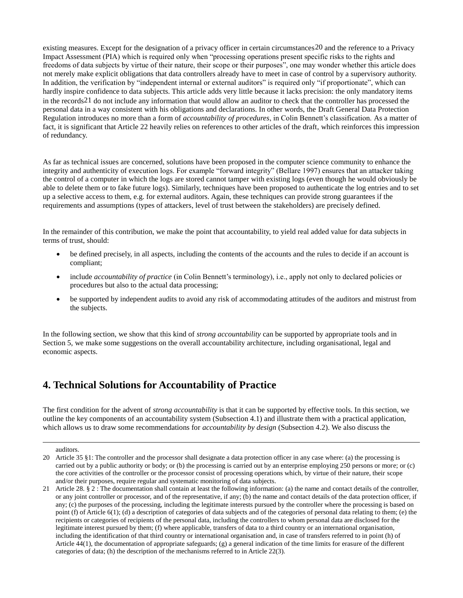existing measures. Except for the designation of a privacy officer in certain circumstances 20 and the reference to a Privacy Impact Assessment (PIA) which is required only when "processing operations present specific risks to the rights and freedoms of data subjects by virtue of their nature, their scope or their purposes", one may wonder whether this article does not merely make explicit obligations that data controllers already have to meet in case of control by a supervisory authority. In addition, the verification by "independent internal or external auditors" is required only "if proportionate", which can hardly inspire confidence to data subjects. This article adds very little because it lacks precision: the only mandatory items in the records21 do not include any information that would allow an auditor to check that the controller has processed the personal data in a way consistent with his obligations and declarations. In other words, the Draft General Data Protection Regulation introduces no more than a form of *accountability of procedures*, in Colin Bennett's classification. As a matter of fact, it is significant that Article 22 heavily relies on references to other articles of the draft, which reinforces this impression of redundancy.

As far as technical issues are concerned, solutions have been proposed in the computer science community to enhance the integrity and authenticity of execution logs. For example "forward integrity" (Bellare 1997) ensures that an attacker taking the control of a computer in which the logs are stored cannot tamper with existing logs (even though he would obviously be able to delete them or to fake future logs). Similarly, techniques have been proposed to authenticate the log entries and to set up a selective access to them, e.g. for external auditors. Again, these techniques can provide strong guarantees if the requirements and assumptions (types of attackers, level of trust between the stakeholders) are precisely defined.

In the remainder of this contribution, we make the point that accountability, to yield real added value for data subjects in terms of trust, should:

- be defined precisely, in all aspects, including the contents of the accounts and the rules to decide if an account is compliant;
- include *accountability of practice* (in Colin Bennett's terminology), i.e., apply not only to declared policies or procedures but also to the actual data processing;
- be supported by independent audits to avoid any risk of accommodating attitudes of the auditors and mistrust from the subjects.

In the following section, we show that this kind of *strong accountability* can be supported by appropriate tools and in Section 5, we make some suggestions on the overall accountability architecture, including organisational, legal and economic aspects.

## **4. Technical Solutions for Accountability of Practice**

The first condition for the advent of *strong accountability* is that it can be supported by effective tools. In this section, we outline the key components of an accountability system (Subsection 4.1) and illustrate them with a practical application, which allows us to draw some recommendations for *accountability by design* (Subsection 4.2). We also discuss the

auditors.

 $\overline{a}$ 

21 Article 28. § 2 : The documentation shall contain at least the following information: (a) the name and contact details of the controller, or any joint controller or processor, and of the representative, if any; (b) the name and contact details of the data protection officer, if any; (c) the purposes of the processing, including the legitimate interests pursued by the controller where the processing is based on point (f) of Article 6(1); (d) a description of categories of data subjects and of the categories of personal data relating to them; (e) the recipients or categories of recipients of the personal data, including the controllers to whom personal data are disclosed for the legitimate interest pursued by them; (f) where applicable, transfers of data to a third country or an international organisation, including the identification of that third country or international organisation and, in case of transfers referred to in point (h) of Article 44(1), the documentation of appropriate safeguards; (g) a general indication of the time limits for erasure of the different categories of data; (h) the description of the mechanisms referred to in Article 22(3).

<sup>20</sup> Article 35 §1: The controller and the processor shall designate a data protection officer in any case where: (a) the processing is carried out by a public authority or body; or (b) the processing is carried out by an enterprise employing 250 persons or more; or (c) the core activities of the controller or the processor consist of processing operations which, by virtue of their nature, their scope and/or their purposes, require regular and systematic monitoring of data subjects.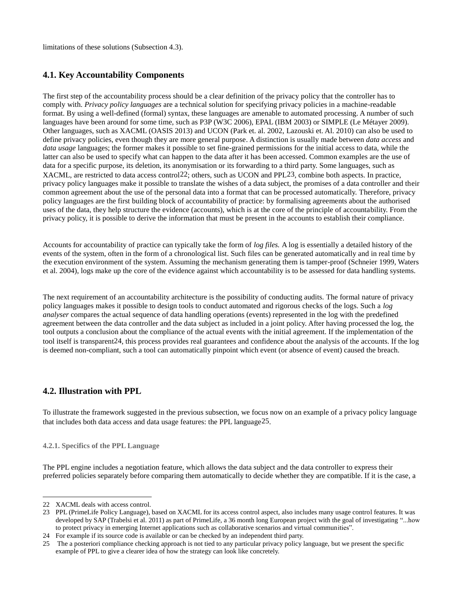limitations of these solutions (Subsection 4.3).

#### **4.1. Key Accountability Components**

The first step of the accountability process should be a clear definition of the privacy policy that the controller has to comply with. *Privacy policy languages* are a technical solution for specifying privacy policies in a machine-readable format. By using a well-defined (formal) syntax, these languages are amenable to automated processing. A number of such languages have been around for some time, such as P3P (W3C 2006), EPAL (IBM 2003) or SIMPLE (Le Métayer 2009). Other languages, such as XACML (OASIS 2013) and UCON (Park et. al. 2002, Lazouski et. Al. 2010) can also be used to define privacy policies, even though they are more general purpose. A distinction is usually made between *data access* and *data usage* languages; the former makes it possible to set fine-grained permissions for the initial access to data, while the latter can also be used to specify what can happen to the data after it has been accessed. Common examples are the use of data for a specific purpose, its deletion, its anonymisation or its forwarding to a third party. Some languages, such as XACML, are restricted to data access control22; others, such as UCON and PPL23, combine both aspects. In practice, privacy policy languages make it possible to translate the wishes of a data subject, the promises of a data controller and their common agreement about the use of the personal data into a format that can be processed automatically. Therefore, privacy policy languages are the first building block of accountability of practice: by formalising agreements about the authorised uses of the data, they help structure the evidence (accounts), which is at the core of the principle of accountability. From the privacy policy, it is possible to derive the information that must be present in the accounts to establish their compliance.

Accounts for accountability of practice can typically take the form of *log files.* A log is essentially a detailed history of the events of the system, often in the form of a chronological list. Such files can be generated automatically and in real time by the execution environment of the system. Assuming the mechanism generating them is tamper-proof (Schneier 1999, Waters et al. 2004), logs make up the core of the evidence against which accountability is to be assessed for data handling systems.

The next requirement of an accountability architecture is the possibility of conducting audits. The formal nature of privacy policy languages makes it possible to design tools to conduct automated and rigorous checks of the logs. Such a *log analyser* compares the actual sequence of data handling operations (events) represented in the log with the predefined agreement between the data controller and the data subject as included in a joint policy. After having processed the log, the tool outputs a conclusion about the compliance of the actual events with the initial agreement. If the implementation of the tool itself is transparent24, this process provides real guarantees and confidence about the analysis of the accounts. If the log is deemed non-compliant, such a tool can automatically pinpoint which event (or absence of event) caused the breach.

#### **4.2. Illustration with PPL**

To illustrate the framework suggested in the previous subsection, we focus now on an example of a privacy policy language that includes both data access and data usage features: the PPL language25.

#### **4.2.1. Specifics of the PPL Language**

The PPL engine includes a negotiation feature, which allows the data subject and the data controller to express their preferred policies separately before comparing them automatically to decide whether they are compatible. If it is the case, a

<sup>22</sup> XACML deals with access control.

<sup>23</sup> PPL (PrimeLife Policy Language), based on XACML for its access control aspect, also includes many usage control features. It was developed by SAP (Trabelsi et al. 2011) as part of PrimeLife, a 36 month long European project with the goal of investigating "...how to protect privacy in emerging Internet applications such as collaborative scenarios and virtual communities".

<sup>24</sup> For example if its source code is available or can be checked by an independent third party.

<sup>25</sup> The a posteriori compliance checking approach is not tied to any particular privacy policy language, but we present the specific example of PPL to give a clearer idea of how the strategy can look like concretely.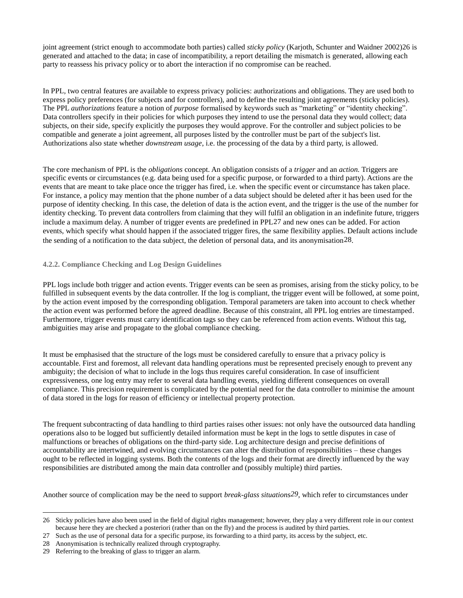joint agreement (strict enough to accommodate both parties) called *sticky policy* (Karjoth, Schunter and Waidner 2002)26 is generated and attached to the data; in case of incompatibility, a report detailing the mismatch is generated, allowing each party to reassess his privacy policy or to abort the interaction if no compromise can be reached.

In PPL, two central features are available to express privacy policies: authorizations and obligations. They are used both to express policy preferences (for subjects and for controllers), and to define the resulting joint agreements (sticky policies). The PPL *authorizations* feature a notion of *purpose* formalised by keywords such as "marketing" or "identity checking". Data controllers specify in their policies for which purposes they intend to use the personal data they would collect; data subjects, on their side, specify explicitly the purposes they would approve. For the controller and subject policies to be compatible and generate a joint agreement, all purposes listed by the controller must be part of the subject's list. Authorizations also state whether *downstream usage*, i.e. the processing of the data by a third party, is allowed.

The core mechanism of PPL is the *obligations* concept. An obligation consists of a *trigger* and an *action.* Triggers are specific events or circumstances (e.g. data being used for a specific purpose, or forwarded to a third party). Actions are the events that are meant to take place once the trigger has fired, i.e. when the specific event or circumstance has taken place. For instance, a policy may mention that the phone number of a data subject should be deleted after it has been used for the purpose of identity checking. In this case, the deletion of data is the action event, and the trigger is the use of the number for identity checking. To prevent data controllers from claiming that they will fulfil an obligation in an indefinite future, triggers include a maximum delay. A number of trigger events are predefined in PPL27 and new ones can be added. For action events, which specify what should happen if the associated trigger fires, the same flexibility applies. Default actions include the sending of a notification to the data subject, the deletion of personal data, and its anonymisation28.

#### **4.2.2. Compliance Checking and Log Design Guidelines**

PPL logs include both trigger and action events. Trigger events can be seen as promises, arising from the sticky policy, to be fulfilled in subsequent events by the data controller. If the log is compliant, the trigger event will be followed, at some point, by the action event imposed by the corresponding obligation. Temporal parameters are taken into account to check whether the action event was performed before the agreed deadline. Because of this constraint, all PPL log entries are timestamped. Furthermore, trigger events must carry identification tags so they can be referenced from action events. Without this tag, ambiguities may arise and propagate to the global compliance checking.

It must be emphasised that the structure of the logs must be considered carefully to ensure that a privacy policy is accountable. First and foremost, all relevant data handling operations must be represented precisely enough to prevent any ambiguity; the decision of what to include in the logs thus requires careful consideration. In case of insufficient expressiveness, one log entry may refer to several data handling events, yielding different consequences on overall compliance. This precision requirement is complicated by the potential need for the data controller to minimise the amount of data stored in the logs for reason of efficiency or intellectual property protection.

The frequent subcontracting of data handling to third parties raises other issues: not only have the outsourced data handling operations also to be logged but sufficiently detailed information must be kept in the logs to settle disputes in case of malfunctions or breaches of obligations on the third-party side. Log architecture design and precise definitions of accountability are intertwined, and evolving circumstances can alter the distribution of responsibilities – these changes ought to be reflected in logging systems. Both the contents of the logs and their format are directly influenced by the way responsibilities are distributed among the main data controller and (possibly multiple) third parties.

Another source of complication may be the need to support *break-glass situations29,* which refer to circumstances under

<sup>26</sup> Sticky policies have also been used in the field of digital rights management; however, they play a very different role in our context because here they are checked a posteriori (rather than on the fly) and the process is audited by third parties.

<sup>27</sup> Such as the use of personal data for a specific purpose, its forwarding to a third party, its access by the subject, etc.

<sup>28</sup> Anonymisation is technically realized through cryptography.

<sup>29</sup> Referring to the breaking of glass to trigger an alarm.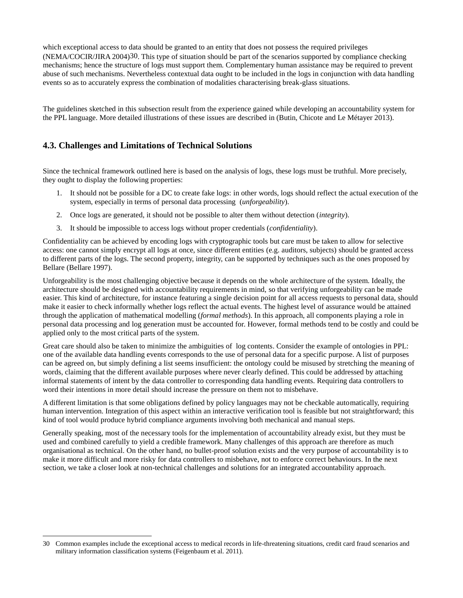which exceptional access to data should be granted to an entity that does not possess the required privileges (NEMA/COCIR/JIRA 2004)30. This type of situation should be part of the scenarios supported by compliance checking mechanisms; hence the structure of logs must support them. Complementary human assistance may be required to prevent abuse of such mechanisms. Nevertheless contextual data ought to be included in the logs in conjunction with data handling events so as to accurately express the combination of modalities characterising break-glass situations.

The guidelines sketched in this subsection result from the experience gained while developing an accountability system for the PPL language. More detailed illustrations of these issues are described in (Butin, Chicote and Le Métayer 2013).

#### **4.3. Challenges and Limitations of Technical Solutions**

 $\overline{a}$ 

Since the technical framework outlined here is based on the analysis of logs, these logs must be truthful. More precisely, they ought to display the following properties:

- 1. It should not be possible for a DC to create fake logs: in other words, logs should reflect the actual execution of the system, especially in terms of personal data processing (*unforgeability*).
- 2. Once logs are generated, it should not be possible to alter them without detection (*integrity*).
- 3. It should be impossible to access logs without proper credentials (*confidentiality*).

Confidentiality can be achieved by encoding logs with cryptographic tools but care must be taken to allow for selective access: one cannot simply encrypt all logs at once, since different entities (e.g. auditors, subjects) should be granted access to different parts of the logs. The second property, integrity, can be supported by techniques such as the ones proposed by Bellare (Bellare 1997).

Unforgeability is the most challenging objective because it depends on the whole architecture of the system. Ideally, the architecture should be designed with accountability requirements in mind, so that verifying unforgeability can be made easier. This kind of architecture, for instance featuring a single decision point for all access requests to personal data, should make it easier to check informally whether logs reflect the actual events. The highest level of assurance would be attained through the application of mathematical modelling (*formal methods*). In this approach, all components playing a role in personal data processing and log generation must be accounted for. However, formal methods tend to be costly and could be applied only to the most critical parts of the system.

Great care should also be taken to minimize the ambiguities of log contents. Consider the example of ontologies in PPL: one of the available data handling events corresponds to the use of personal data for a specific purpose. A list of purposes can be agreed on, but simply defining a list seems insufficient: the ontology could be misused by stretching the meaning of words, claiming that the different available purposes where never clearly defined. This could be addressed by attaching informal statements of intent by the data controller to corresponding data handling events. Requiring data controllers to word their intentions in more detail should increase the pressure on them not to misbehave.

A different limitation is that some obligations defined by policy languages may not be checkable automatically, requiring human intervention. Integration of this aspect within an interactive verification tool is feasible but not straightforward; this kind of tool would produce hybrid compliance arguments involving both mechanical and manual steps.

Generally speaking, most of the necessary tools for the implementation of accountability already exist, but they must be used and combined carefully to yield a credible framework. Many challenges of this approach are therefore as much organisational as technical. On the other hand, no bullet-proof solution exists and the very purpose of accountability is to make it more difficult and more risky for data controllers to misbehave, not to enforce correct behaviours. In the next section, we take a closer look at non-technical challenges and solutions for an integrated accountability approach.

<sup>30</sup> Common examples include the exceptional access to medical records in life-threatening situations, credit card fraud scenarios and military information classification systems (Feigenbaum et al. 2011).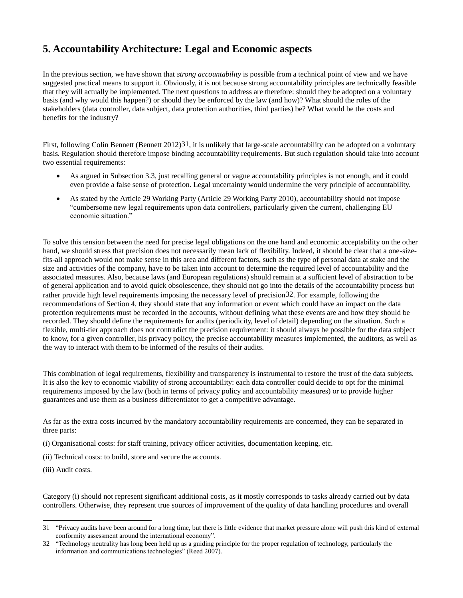## **5. Accountability Architecture: Legal and Economic aspects**

In the previous section, we have shown that *strong accountability* is possible from a technical point of view and we have suggested practical means to support it. Obviously, it is not because strong accountability principles are technically feasible that they will actually be implemented. The next questions to address are therefore: should they be adopted on a voluntary basis (and why would this happen?) or should they be enforced by the law (and how)? What should the roles of the stakeholders (data controller, data subject, data protection authorities, third parties) be? What would be the costs and benefits for the industry?

First, following Colin Bennett (Bennett 2012)<sup>31</sup>, it is unlikely that large-scale accountability can be adopted on a voluntary basis. Regulation should therefore impose binding accountability requirements. But such regulation should take into account two essential requirements:

- As argued in Subsection 3.3, just recalling general or vague accountability principles is not enough, and it could even provide a false sense of protection. Legal uncertainty would undermine the very principle of accountability.
- As stated by the Article 29 Working Party (Article 29 Working Party 2010), accountability should not impose ―cumbersome new legal requirements upon data controllers, particularly given the current, challenging EU economic situation."

To solve this tension between the need for precise legal obligations on the one hand and economic acceptability on the other hand, we should stress that precision does not necessarily mean lack of flexibility. Indeed, it should be clear that a one-sizefits-all approach would not make sense in this area and different factors, such as the type of personal data at stake and the size and activities of the company, have to be taken into account to determine the required level of accountability and the associated measures. Also, because laws (and European regulations) should remain at a sufficient level of abstraction to be of general application and to avoid quick obsolescence, they should not go into the details of the accountability process but rather provide high level requirements imposing the necessary level of precision32. For example, following the recommendations of Section 4, they should state that any information or event which could have an impact on the data protection requirements must be recorded in the accounts, without defining what these events are and how they should be recorded. They should define the requirements for audits (periodicity, level of detail) depending on the situation. Such a flexible, multi-tier approach does not contradict the precision requirement: it should always be possible for the data subject to know, for a given controller, his privacy policy, the precise accountability measures implemented, the auditors, as well as the way to interact with them to be informed of the results of their audits.

This combination of legal requirements, flexibility and transparency is instrumental to restore the trust of the data subjects. It is also the key to economic viability of strong accountability: each data controller could decide to opt for the minimal requirements imposed by the law (both in terms of privacy policy and accountability measures) or to provide higher guarantees and use them as a business differentiator to get a competitive advantage.

As far as the extra costs incurred by the mandatory accountability requirements are concerned, they can be separated in three parts:

(i) Organisational costs: for staff training, privacy officer activities, documentation keeping, etc.

- (ii) Technical costs: to build, store and secure the accounts.
- (iii) Audit costs.

 $\overline{a}$ 

Category (i) should not represent significant additional costs, as it mostly corresponds to tasks already carried out by data controllers. Otherwise, they represent true sources of improvement of the quality of data handling procedures and overall

<sup>31</sup> ―Privacy audits have been around for a long time, but there is little evidence that market pressure alone will push this kind of external conformity assessment around the international economy".

<sup>32</sup> ―Technology neutrality has long been held up as a guiding principle for the proper regulation of technology, particularly the information and communications technologies" (Reed 2007).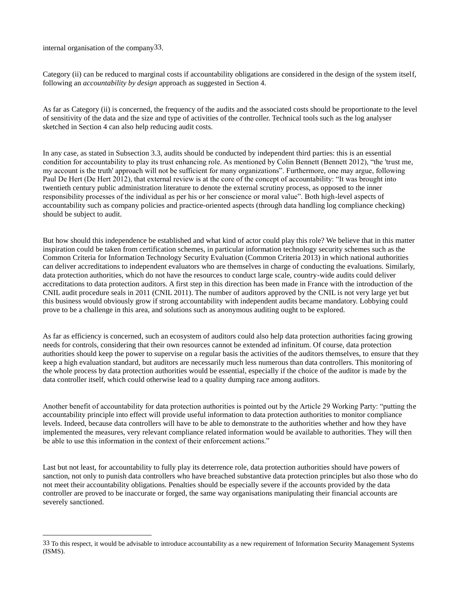internal organisation of the company33.

 $\overline{a}$ 

Category (ii) can be reduced to marginal costs if accountability obligations are considered in the design of the system itself, following an *accountability by design* approach as suggested in Section 4.

As far as Category (ii) is concerned, the frequency of the audits and the associated costs should be proportionate to the level of sensitivity of the data and the size and type of activities of the controller. Technical tools such as the log analyser sketched in Section 4 can also help reducing audit costs.

In any case, as stated in Subsection 3.3, audits should be conducted by independent third parties: this is an essential condition for accountability to play its trust enhancing role. As mentioned by Colin Bennett (Bennett 2012), "the 'trust me, my account is the truth' approach will not be sufficient for many organizations". Furthermore, one may argue, following Paul De Hert (De Hert 2012), that external review is at the core of the concept of accountability: "It was brought into twentieth century public administration literature to denote the external scrutiny process, as opposed to the inner responsibility processes of the individual as per his or her conscience or moral value‖. Both high-level aspects of accountability such as company policies and practice-oriented aspects (through data handling log compliance checking) should be subject to audit.

But how should this independence be established and what kind of actor could play this role? We believe that in this matter inspiration could be taken from certification schemes, in particular information technology security schemes such as the Common Criteria for Information Technology Security Evaluation (Common Criteria 2013) in which national authorities can deliver accreditations to independent evaluators who are themselves in charge of conducting the evaluations. Similarly, data protection authorities, which do not have the resources to conduct large scale, country-wide audits could deliver accreditations to data protection auditors. A first step in this direction has been made in France with the introduction of the CNIL audit procedure seals in 2011 (CNIL 2011). The number of auditors approved by the CNIL is not very large yet but this business would obviously grow if strong accountability with independent audits became mandatory. Lobbying could prove to be a challenge in this area, and solutions such as anonymous auditing ought to be explored.

As far as efficiency is concerned, such an ecosystem of auditors could also help data protection authorities facing growing needs for controls, considering that their own resources cannot be extended ad infinitum. Of course, data protection authorities should keep the power to supervise on a regular basis the activities of the auditors themselves, to ensure that they keep a high evaluation standard, but auditors are necessarily much less numerous than data controllers. This monitoring of the whole process by data protection authorities would be essential, especially if the choice of the auditor is made by the data controller itself, which could otherwise lead to a quality dumping race among auditors.

Another benefit of accountability for data protection authorities is pointed out by the Article 29 Working Party: "putting the accountability principle into effect will provide useful information to data protection authorities to monitor compliance levels. Indeed, because data controllers will have to be able to demonstrate to the authorities whether and how they have implemented the measures, very relevant compliance related information would be available to authorities. They will then be able to use this information in the context of their enforcement actions."

Last but not least, for accountability to fully play its deterrence role, data protection authorities should have powers of sanction, not only to punish data controllers who have breached substantive data protection principles but also those who do not meet their accountability obligations. Penalties should be especially severe if the accounts provided by the data controller are proved to be inaccurate or forged, the same way organisations manipulating their financial accounts are severely sanctioned.

<sup>33</sup> To this respect, it would be advisable to introduce accountability as a new requirement of Information Security Management Systems (ISMS).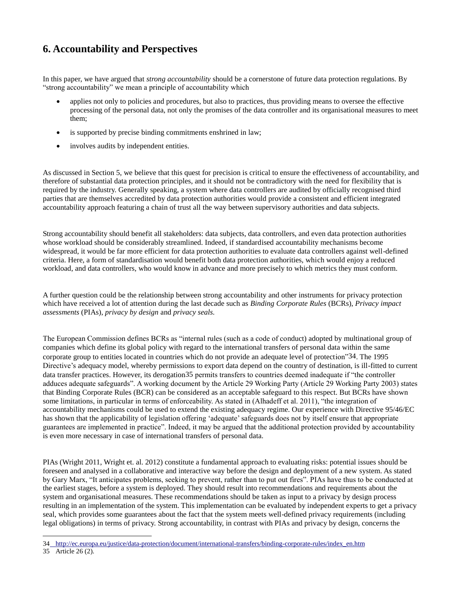## **6. Accountability and Perspectives**

In this paper, we have argued that *strong accountability* should be a cornerstone of future data protection regulations. By "strong accountability" we mean a principle of accountability which

- applies not only to policies and procedures, but also to practices, thus providing means to oversee the effective processing of the personal data, not only the promises of the data controller and its organisational measures to meet them;
- is supported by precise binding commitments enshrined in law;
- involves audits by independent entities.

As discussed in Section 5, we believe that this quest for precision is critical to ensure the effectiveness of accountability, and therefore of substantial data protection principles, and it should not be contradictory with the need for flexibility that is required by the industry. Generally speaking, a system where data controllers are audited by officially recognised third parties that are themselves accredited by data protection authorities would provide a consistent and efficient integrated accountability approach featuring a chain of trust all the way between supervisory authorities and data subjects.

Strong accountability should benefit all stakeholders: data subjects, data controllers, and even data protection authorities whose workload should be considerably streamlined. Indeed, if standardised accountability mechanisms become widespread, it would be far more efficient for data protection authorities to evaluate data controllers against well-defined criteria. Here, a form of standardisation would benefit both data protection authorities, which would enjoy a reduced workload, and data controllers, who would know in advance and more precisely to which metrics they must conform.

A further question could be the relationship between strong accountability and other instruments for privacy protection which have received a lot of attention during the last decade such as *Binding Corporate Rules* (BCRs), *Privacy impact assessments* (PIAs), *privacy by design* and *privacy seals.*

The European Commission defines BCRs as "internal rules (such as a code of conduct) adopted by multinational group of companies which define its global policy with regard to the international transfers of personal data within the same corporate group to entities located in countries which do not provide an adequate level of protection"34. The 1995 Directive's adequacy model, whereby permissions to export data depend on the country of destination, is ill-fitted to current data transfer practices. However, its derogation35 permits transfers to countries deemed inadequate if "the controller adduces adequate safeguards". A working document by the Article 29 Working Party (Article 29 Working Party 2003) states that Binding Corporate Rules (BCR) can be considered as an acceptable safeguard to this respect. But BCRs have shown some limitations, in particular in terms of enforceability. As stated in (Alhadeff et al. 2011), "the integration of accountability mechanisms could be used to extend the existing adequacy regime. Our experience with Directive 95/46/EC has shown that the applicability of legislation offering 'adequate' safeguards does not by itself ensure that appropriate guarantees are implemented in practice". Indeed, it may be argued that the additional protection provided by accountability is even more necessary in case of international transfers of personal data.

PIAs (Wright 2011, Wright et. al. 2012) constitute a fundamental approach to evaluating risks: potential issues should be foreseen and analysed in a collaborative and interactive way before the design and deployment of a new system. As stated by Gary Marx, "It anticipates problems, seeking to prevent, rather than to put out fires". PIAs have thus to be conducted at the earliest stages, before a system is deployed. They should result into recommendations and requirements about the system and organisational measures. These recommendations should be taken as input to a privacy by design process resulting in an implementation of the system. This implementation can be evaluated by independent experts to get a privacy seal, which provides some guarantees about the fact that the system meets well-defined privacy requirements (including legal obligations) in terms of privacy. Strong accountability, in contrast with PIAs and privacy by design, concerns the

<sup>34</sup> [http://ec.europa.eu/justice/data-protection/document/international-transfers/binding-corporate-rules/index\\_en.htm](http://ec.europa.eu/justice/data-protection/document/international-transfers/binding-corporate-rules/index_en.htm)

<sup>35</sup> Article 26 (2).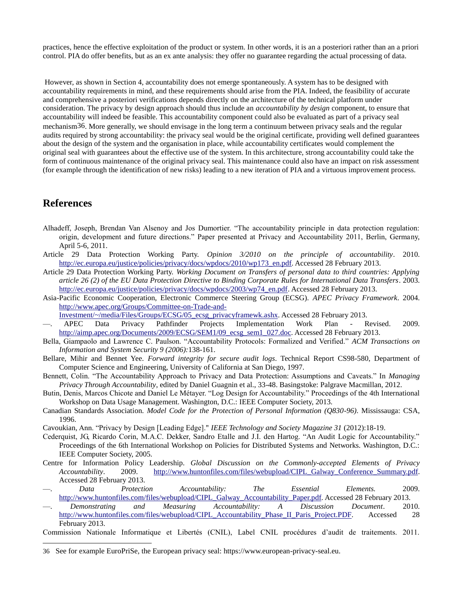practices, hence the effective exploitation of the product or system. In other words, it is an a posteriori rather than an a priori control. PIA do offer benefits, but as an ex ante analysis: they offer no guarantee regarding the actual processing of data.

However, as shown in Section 4, accountability does not emerge spontaneously. A system has to be designed with accountability requirements in mind, and these requirements should arise from the PIA. Indeed, the feasibility of accurate and comprehensive a posteriori verifications depends directly on the architecture of the technical platform under consideration. The privacy by design approach should thus include an *accountability by design* component, to ensure that accountability will indeed be feasible. This accountability component could also be evaluated as part of a privacy seal mechanism36. More generally, we should envisage in the long term a continuum between privacy seals and the regular audits required by strong accountability: the privacy seal would be the original certificate, providing well defined guarantees about the design of the system and the organisation in place, while accountability certificates would complement the original seal with guarantees about the effective use of the system. In this architecture, strong accountability could take the form of continuous maintenance of the original privacy seal. This maintenance could also have an impact on risk assessment (for example through the identification of new risks) leading to a new iteration of PIA and a virtuous improvement process.

#### **References**

l

- Alhadeff, Joseph, Brendan Van Alsenoy and Jos Dumortier. "The accountability principle in data protection regulation: origin, development and future directions." Paper presented at Privacy and Accountability 2011, Berlin, Germany, April 5-6, 2011.
- Article 29 Data Protection Working Party. *Opinion 3/2010 on the principle of accountability*. 2010. [http://ec.e](http://ec.europa.eu/justice/policies/privacy/docs/wpdocs/2010/wp173_en.pdf)urop[a.eu/j](http://ec.europa.eu/justice/policies/privacy/docs/wpdocs/2010/wp173_en.pdf)ustic[e/p](http://ec.europa.eu/justice/policies/privacy/docs/wpdocs/2010/wp173_en.pdf)olicie[s/p](http://ec.europa.eu/justice/policies/privacy/docs/wpdocs/2010/wp173_en.pdf)rivac[y/d](http://ec.europa.eu/justice/policies/privacy/docs/wpdocs/2010/wp173_en.pdf)oc[s/w](http://ec.europa.eu/justice/policies/privacy/docs/wpdocs/2010/wp173_en.pdf)pdoc[s/2010/wp173\\_en.pdf.](http://ec.europa.eu/justice/policies/privacy/docs/wpdocs/2010/wp173_en.pdf) Accessed 28 February 2013.

Article 29 Data Protection Working Party. *Working Document on Transfers of personal data to third countries: Applying article 26 (2) of the EU Data Protection Directive to Binding Corporate Rules for International Data Transfers*. 2003. [http://ec.europa.eu/justice/policies/privacy/docs/wpdocs/2003/wp74\\_en.pdf.](http://ec.europa.eu/justice/policies/privacy/docs/wpdocs/2003/wp74_en.pdf) Accessed 28 February 2013.

Asia-Pacific Economic Cooperation, Electronic Commerce Steering Group (ECSG). *APEC Privacy Framework*. 2004. [http://w](http://www.apec.org/Groups/Committee-on-Trade-and-Investment/~/media/Files/Groups/ECSG/05_ecsg_privacyframewk.ashx)w[w.a](http://www.apec.org/Groups/Committee-on-Trade-and-Investment/~/media/Files/Groups/ECSG/05_ecsg_privacyframewk.ashx)pe[c.org/G](http://www.apec.org/Groups/Committee-on-Trade-and-Investment/~/media/Files/Groups/ECSG/05_ecsg_privacyframewk.ashx)roup[s/C](http://www.apec.org/Groups/Committee-on-Trade-and-Investment/~/media/Files/Groups/ECSG/05_ecsg_privacyframewk.ashx)ommitte[e-on-T](http://www.apec.org/Groups/Committee-on-Trade-and-Investment/~/media/Files/Groups/ECSG/05_ecsg_privacyframewk.ashx)rad[e-a](http://www.apec.org/Groups/Committee-on-Trade-and-Investment/~/media/Files/Groups/ECSG/05_ecsg_privacyframewk.ashx)n[d-](http://www.apec.org/Groups/Committee-on-Trade-and-Investment/~/media/Files/Groups/ECSG/05_ecsg_privacyframewk.ashx)

[Investment/~/m](http://www.apec.org/Groups/Committee-on-Trade-and-Investment/~/media/Files/Groups/ECSG/05_ecsg_privacyframewk.ashx)edi[a/F](http://www.apec.org/Groups/Committee-on-Trade-and-Investment/~/media/Files/Groups/ECSG/05_ecsg_privacyframewk.ashx)ile[s/G](http://www.apec.org/Groups/Committee-on-Trade-and-Investment/~/media/Files/Groups/ECSG/05_ecsg_privacyframewk.ashx)roup[s/E](http://www.apec.org/Groups/Committee-on-Trade-and-Investment/~/media/Files/Groups/ECSG/05_ecsg_privacyframewk.ashx)CS[G/05\\_e](http://www.apec.org/Groups/Committee-on-Trade-and-Investment/~/media/Files/Groups/ECSG/05_ecsg_privacyframewk.ashx)cs[g\\_p](http://www.apec.org/Groups/Committee-on-Trade-and-Investment/~/media/Files/Groups/ECSG/05_ecsg_privacyframewk.ashx)rivacyframew[k.ashx.](http://www.apec.org/Groups/Committee-on-Trade-and-Investment/~/media/Files/Groups/ECSG/05_ecsg_privacyframewk.ashx) Accessed 28 February 2013.

- —. APEC Data Privacy Pathfinder Projects Implementation Work Plan Revised. 2009. [http://a](http://aimp.apec.org/Documents/2009/ECSG/SEM1/09_ecsg_sem1_027.doc)im[p.a](http://aimp.apec.org/Documents/2009/ECSG/SEM1/09_ecsg_sem1_027.doc)pe[c.o](http://aimp.apec.org/Documents/2009/ECSG/SEM1/09_ecsg_sem1_027.doc)r[g/D](http://aimp.apec.org/Documents/2009/ECSG/SEM1/09_ecsg_sem1_027.doc)ocument[s/2009/E](http://aimp.apec.org/Documents/2009/ECSG/SEM1/09_ecsg_sem1_027.doc)CS[G/S](http://aimp.apec.org/Documents/2009/ECSG/SEM1/09_ecsg_sem1_027.doc)E[M1/09\\_e](http://aimp.apec.org/Documents/2009/ECSG/SEM1/09_ecsg_sem1_027.doc)cs[g\\_s](http://aimp.apec.org/Documents/2009/ECSG/SEM1/09_ecsg_sem1_027.doc)e[m1\\_027.doc.](http://aimp.apec.org/Documents/2009/ECSG/SEM1/09_ecsg_sem1_027.doc) Accessed 28 February 2013.
- Bella, Giampaolo and Lawrence C. Paulson. "Accountability Protocols: Formalized and Verified." ACM Transactions on *Information and System Security 9 (2006):*138-161.
- Bellare, Mihir and Bennet Yee. *Forward integrity for secure audit logs*. Technical Report CS98-580, Department of Computer Science and Engineering, University of California at San Diego, 1997.
- Bennett, Colin. "The Accountability Approach to Privacy and Data Protection: Assumptions and Caveats." In *Managing Privacy Through Accountability*, edited by Daniel Guagnin et al., 33-48. Basingstoke: Palgrave Macmillan, 2012.
- Butin, Denis, Marcos Chicote and Daniel Le Métayer. "Log Design for Accountability." Proceedings of the 4th International Workshop on Data Usage Management. Washington, D.C.: IEEE Computer Society, 2013.
- Canadian Standards Association. *Model Code for the Protection of Personal Information (Q830-96)*. Mississauga: CSA, 1996.
- Cavoukian, Ann. ―Privacy by Design [Leading Edge]." *IEEE Technology and Society Magazine 31* (2012):18-19.
- Cederquist, JG, Ricardo Corin, M.A.C. Dekker, Sandro Etalle and J.I. den Hartog. "An Audit Logic for Accountability." Proceedings of the 6th International Workshop on Policies for Distributed Systems and Networks. Washington, D.C.: IEEE Computer Society, 2005.
- Centre for Information Policy Leadership. *Global Discussion on the Commonly-accepted Elements of Privacy Accountability*. 2009. [http://w](http://www.huntonfiles.com/files/webupload/CIPL_Galway_Conference_Summary.pdf)w[w.huntonfiles.c](http://www.huntonfiles.com/files/webupload/CIPL_Galway_Conference_Summary.pdf)o[m/f](http://www.huntonfiles.com/files/webupload/CIPL_Galway_Conference_Summary.pdf)ile[s/w](http://www.huntonfiles.com/files/webupload/CIPL_Galway_Conference_Summary.pdf)ebuploa[d/C](http://www.huntonfiles.com/files/webupload/CIPL_Galway_Conference_Summary.pdf)IP[L\\_G](http://www.huntonfiles.com/files/webupload/CIPL_Galway_Conference_Summary.pdf)alwa[y\\_C](http://www.huntonfiles.com/files/webupload/CIPL_Galway_Conference_Summary.pdf)onferenc[e\\_S](http://www.huntonfiles.com/files/webupload/CIPL_Galway_Conference_Summary.pdf)ummar[y.pdf.](http://www.huntonfiles.com/files/webupload/CIPL_Galway_Conference_Summary.pdf) Accessed 28 February 2013.
- —. *Data Protection Accountability: The Essential Elements.* 2009. [http://w](http://www.huntonfiles.com/files/webupload/CIPL_Galway_Accountability_Paper.pdf)w[w.h](http://www.huntonfiles.com/files/webupload/CIPL_Galway_Accountability_Paper.pdf)untonfile[s.c](http://www.huntonfiles.com/files/webupload/CIPL_Galway_Accountability_Paper.pdf)o[m/f](http://www.huntonfiles.com/files/webupload/CIPL_Galway_Accountability_Paper.pdf)ile[s/w](http://www.huntonfiles.com/files/webupload/CIPL_Galway_Accountability_Paper.pdf)ebuploa[d/C](http://www.huntonfiles.com/files/webupload/CIPL_Galway_Accountability_Paper.pdf)IP[L\\_G](http://www.huntonfiles.com/files/webupload/CIPL_Galway_Accountability_Paper.pdf)alwa[y\\_A](http://www.huntonfiles.com/files/webupload/CIPL_Galway_Accountability_Paper.pdf)ccountabilit[y\\_P](http://www.huntonfiles.com/files/webupload/CIPL_Galway_Accountability_Paper.pdf)ape[r.pdf.](http://www.huntonfiles.com/files/webupload/CIPL_Galway_Accountability_Paper.pdf) Accessed 28 February 2013.
- —. *Demonstrating and Measuring Accountability: A Discussion Document*. 2010. [http://w](http://www.huntonfiles.com/files/webupload/CIPL_Accountability_Phase_II_Paris_Project.PDF)w[w.h](http://www.huntonfiles.com/files/webupload/CIPL_Accountability_Phase_II_Paris_Project.PDF)untonfile[s.c](http://www.huntonfiles.com/files/webupload/CIPL_Accountability_Phase_II_Paris_Project.PDF)o[m/f](http://www.huntonfiles.com/files/webupload/CIPL_Accountability_Phase_II_Paris_Project.PDF)ile[s/w](http://www.huntonfiles.com/files/webupload/CIPL_Accountability_Phase_II_Paris_Project.PDF)ebuploa[d/C](http://www.huntonfiles.com/files/webupload/CIPL_Accountability_Phase_II_Paris_Project.PDF)IP[L\\_A](http://www.huntonfiles.com/files/webupload/CIPL_Accountability_Phase_II_Paris_Project.PDF)ccountabilit[y\\_P](http://www.huntonfiles.com/files/webupload/CIPL_Accountability_Phase_II_Paris_Project.PDF)has[e\\_II\\_P](http://www.huntonfiles.com/files/webupload/CIPL_Accountability_Phase_II_Paris_Project.PDF)ari[s\\_P](http://www.huntonfiles.com/files/webupload/CIPL_Accountability_Phase_II_Paris_Project.PDF)rojec[t.PDF.](http://www.huntonfiles.com/files/webupload/CIPL_Accountability_Phase_II_Paris_Project.PDF) Accessed 28 February 2013.
- Commission Nationale Informatique et Libertés (CNIL), Label CNIL procédures d'audit de traitements. 2011.

<sup>36</sup> See for example EuroPriSe, the European privacy seal: https://www.european-privacy-seal.eu.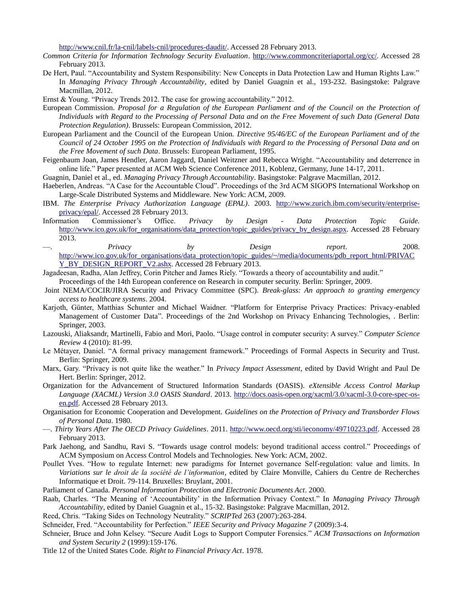[http://www.cnil.fr/la-cnil/labels-cnil/procedures-daudit/.](http://www.cnil.fr/la-cnil/labels-cnil/procedures-daudit/) Accessed 28 February 2013.

- *Common Criteria for Information Technology Security Evaluation*. [http://www.commoncriteriaportal.org/cc/.](http://www.commoncriteriaportal.org/cc/) Accessed 28 February 2013.
- De Hert, Paul. "Accountability and System Responsibility: New Concepts in Data Protection Law and Human Rights Law." In *Managing Privacy Through Accountability*, edited by Daniel Guagnin et al., 193-232. Basingstoke: Palgrave Macmillan, 2012.
- Ernst & Young. "Privacy Trends 2012. The case for growing accountability." 2012.
- European Commission. *Proposal for a Regulation of the European Parliament and of the Council on the Protection of Individuals with Regard to the Processing of Personal Data and on the Free Movement of such Data (General Data Protection Regulation)*. Brussels: European Commission, 2012.
- European Parliament and the Council of the European Union. *Directive 95/46/EC of the European Parliament and of the Council of 24 October 1995 on the Protection of Individuals with Regard to the Processing of Personal Data and on the Free Movement of such Data*. Brussels: European Parliament, 1995.
- Feigenbaum Joan, James Hendler, Aaron Jaggard, Daniel Weitzner and Rebecca Wright. "Accountability and deterrence in online life.‖ Paper presented at ACM Web Science Conference 2011, Koblenz, Germany, June 14-17, 2011.

Guagnin, Daniel et al., ed. *Managing Privacy Through Accountability*. Basingstoke: Palgrave Macmillan, 2012.

- Haeberlen, Andreas. "A Case for the Accountable Cloud". Proceedings of the 3rd ACM SIGOPS International Workshop on Large-Scale Distributed Systems and Middleware. New York: ACM, 2009.
- IBM. *The Enterprise Privacy Authorization Language (EPAL)*. 2003. [http://w](http://www.zurich.ibm.com/security/enterprise-privacy/epal/)w[w.z](http://www.zurich.ibm.com/security/enterprise-privacy/epal/)uric[h.i](http://www.zurich.ibm.com/security/enterprise-privacy/epal/)b[m.c](http://www.zurich.ibm.com/security/enterprise-privacy/epal/)o[m/s](http://www.zurich.ibm.com/security/enterprise-privacy/epal/)ecurit[y/e](http://www.zurich.ibm.com/security/enterprise-privacy/epal/)nterpris[e](http://www.zurich.ibm.com/security/enterprise-privacy/epal/)[privacy/e](http://www.zurich.ibm.com/security/enterprise-privacy/epal/)pa[l/.](http://www.zurich.ibm.com/security/enterprise-privacy/epal/) Accessed 28 February 2013.
- Information Commissioner's Office. *Privacy by Design - Data Protection Topic Guide.*  [http://w](http://www.ico.gov.uk/for_organisations/data_protection/topic_guides/privacy_by_design.aspx)w[w.i](http://www.ico.gov.uk/for_organisations/data_protection/topic_guides/privacy_by_design.aspx)c[o.g](http://www.ico.gov.uk/for_organisations/data_protection/topic_guides/privacy_by_design.aspx)o[v.uk/f](http://www.ico.gov.uk/for_organisations/data_protection/topic_guides/privacy_by_design.aspx)o[r\\_o](http://www.ico.gov.uk/for_organisations/data_protection/topic_guides/privacy_by_design.aspx)rganis[ations/data\\_protection/topic\\_guides/privacy\\_by\\_design.aspx.](http://www.ico.gov.uk/for_organisations/data_protection/topic_guides/privacy_by_design.aspx) Accessed 28 February 2013.

—. *Privacy by Design report*. 2008. [http://w](http://www.ico.gov.uk/for_organisations/data_protection/topic_guides/~/media/documents/pdb_report_html/PRIVACY_BY_DESIGN_REPORT)w[w.i](http://www.ico.gov.uk/for_organisations/data_protection/topic_guides/~/media/documents/pdb_report_html/PRIVACY_BY_DESIGN_REPORT)c[o.g](http://www.ico.gov.uk/for_organisations/data_protection/topic_guides/~/media/documents/pdb_report_html/PRIVACY_BY_DESIGN_REPORT)o[v.uk/f](http://www.ico.gov.uk/for_organisations/data_protection/topic_guides/~/media/documents/pdb_report_html/PRIVACY_BY_DESIGN_REPORT)o[r\\_o](http://www.ico.gov.uk/for_organisations/data_protection/topic_guides/~/media/documents/pdb_report_html/PRIVACY_BY_DESIGN_REPORT)rganisation[s/d](http://www.ico.gov.uk/for_organisations/data_protection/topic_guides/~/media/documents/pdb_report_html/PRIVACY_BY_DESIGN_REPORT)at[a\\_p](http://www.ico.gov.uk/for_organisations/data_protection/topic_guides/~/media/documents/pdb_report_html/PRIVACY_BY_DESIGN_REPORT)rotectio[n/t](http://www.ico.gov.uk/for_organisations/data_protection/topic_guides/~/media/documents/pdb_report_html/PRIVACY_BY_DESIGN_REPORT)opi[c\\_g](http://www.ico.gov.uk/for_organisations/data_protection/topic_guides/~/media/documents/pdb_report_html/PRIVACY_BY_DESIGN_REPORT)uide[s/~/m](http://www.ico.gov.uk/for_organisations/data_protection/topic_guides/~/media/documents/pdb_report_html/PRIVACY_BY_DESIGN_REPORT)edi[a/d](http://www.ico.gov.uk/for_organisations/data_protection/topic_guides/~/media/documents/pdb_report_html/PRIVACY_BY_DESIGN_REPORT)ocument[s/p](http://www.ico.gov.uk/for_organisations/data_protection/topic_guides/~/media/documents/pdb_report_html/PRIVACY_BY_DESIGN_REPORT)d[b\\_r](http://www.ico.gov.uk/for_organisations/data_protection/topic_guides/~/media/documents/pdb_report_html/PRIVACY_BY_DESIGN_REPORT)epor[t\\_h](http://www.ico.gov.uk/for_organisations/data_protection/topic_guides/~/media/documents/pdb_report_html/PRIVACY_BY_DESIGN_REPORT)tm[l/PRIVAC](http://www.ico.gov.uk/for_organisations/data_protection/topic_guides/~/media/documents/pdb_report_html/PRIVACY_BY_DESIGN_REPORT) [Y\\_BY\\_D](http://www.ico.gov.uk/for_organisations/data_protection/topic_guides/~/media/documents/pdb_report_html/PRIVACY_BY_DESIGN_REPORT)ESIG[N\\_R](http://www.ico.gov.uk/for_organisations/data_protection/topic_guides/~/media/documents/pdb_report_html/PRIVACY_BY_DESIGN_REPORT)EPOR[T\\_V2.ashx.](http://www.ico.gov.uk/for_organisations/data_protection/topic_guides/~/media/documents/pdb_report_html/PRIVACY_BY_DESIGN_REPORT) Accessed 28 February 2013.

- Jagadeesan, Radha, Alan Jeffrey, Corin Pitcher and James Riely. "Towards a theory of accountability and audit." Proceedings of the 14th European conference on Research in computer security. Berlin: Springer, 2009.
- Joint NEMA/COCIR/JIRA Security and Privacy Committee (SPC). *Break-glass: An approach to granting emergency access to healthcare systems*. 2004.
- Karjoth, Günter, Matthias Schunter and Michael Waidner. "Platform for Enterprise Privacy Practices: Privacy-enabled Management of Customer Data". Proceedings of the 2nd Workshop on Privacy Enhancing Technologies, . Berlin: Springer, 2003.
- Lazouski, Aliaksandr, Martinelli, Fabio and Mori, Paolo. "Usage control in computer security: A survey." *Computer Science Review* 4 (2010): 81-99.
- Le Métayer, Daniel. "A formal privacy management framework." Proceedings of Formal Aspects in Security and Trust. Berlin: Springer, 2009.
- Marx, Gary. "Privacy is not quite like the weather." In *Privacy Impact Assessment*, edited by David Wright and Paul De Hert. Berlin: Springer, 2012.
- Organization for the Advancement of Structured Information Standards (OASIS). *eXtensible Access Control Markup Language (XACML) Version 3.0 OASIS Standard*. 2013. [http://d](http://docs.oasis-open.org/xacml/3.0/xacml-3.0-core-spec-os-en.pdf)oc[s.o](http://docs.oasis-open.org/xacml/3.0/xacml-3.0-core-spec-os-en.pdf)asi[s-o](http://docs.oasis-open.org/xacml/3.0/xacml-3.0-core-spec-os-en.pdf)pe[n.o](http://docs.oasis-open.org/xacml/3.0/xacml-3.0-core-spec-os-en.pdf)r[g/x](http://docs.oasis-open.org/xacml/3.0/xacml-3.0-core-spec-os-en.pdf)acm[l/3.0/x](http://docs.oasis-open.org/xacml/3.0/xacml-3.0-core-spec-os-en.pdf)acm[l-3.0-c](http://docs.oasis-open.org/xacml/3.0/xacml-3.0-core-spec-os-en.pdf)or[e-s](http://docs.oasis-open.org/xacml/3.0/xacml-3.0-core-spec-os-en.pdf)pe[c-os](http://docs.oasis-open.org/xacml/3.0/xacml-3.0-core-spec-os-en.pdf)[en.pdf.](http://docs.oasis-open.org/xacml/3.0/xacml-3.0-core-spec-os-en.pdf) Accessed 28 February 2013.
- Organisation for Economic Cooperation and Development. *Guidelines on the Protection of Privacy and Transborder Flows of Personal Data*. 1980.
- —. *Thirty Years After The OECD Privacy Guidelines*. 2011. [http://w](http://www.oecd.org/sti/ieconomy/49710223.pdf)w[w.o](http://www.oecd.org/sti/ieconomy/49710223.pdf)ec[d.o](http://www.oecd.org/sti/ieconomy/49710223.pdf)r[g/s](http://www.oecd.org/sti/ieconomy/49710223.pdf)t[i/ie](http://www.oecd.org/sti/ieconomy/49710223.pdf)conom[y/49710223.pdf.](http://www.oecd.org/sti/ieconomy/49710223.pdf) Accessed 28 February 2013.
- Park Jaehong, and Sandhu, Ravi S. "Towards usage control models: beyond traditional access control." Proceedings of ACM Symposium on Access Control Models and Technologies. New York: ACM, 2002.
- Poullet Yves. "How to regulate Internet: new paradigms for Internet governance Self-regulation: value and limits. In *Variations sur le droit de la société de l'information*, edited by Claire Monville, Cahiers du Centre de Recherches Informatique et Droit. 79-114. Bruxelles: Bruylant, 2001.

Parliament of Canada. *Personal Information Protection and Electronic Documents Act*. 2000.

Raab, Charles. "The Meaning of 'Accountability' in the Information Privacy Context." In *Managing Privacy Through Accountability*, edited by Daniel Guagnin et al., 15-32. Basingstoke: Palgrave Macmillan, 2012.

Reed, Chris. "Taking Sides on Technology Neutrality." *SCRIPTed* 263 (2007):263-284.

- Schneider, Fred. "Accountability for Perfection." *IEEE Security and Privacy Magazine* 7 (2009):3-4.
- Schneier, Bruce and John Kelsey. "Secure Audit Logs to Support Computer Forensics." *ACM Transactions on Information and System Security 2* (1999):159-176.
- Title 12 of the United States Code. *Right to Financial Privacy Act*. 1978.